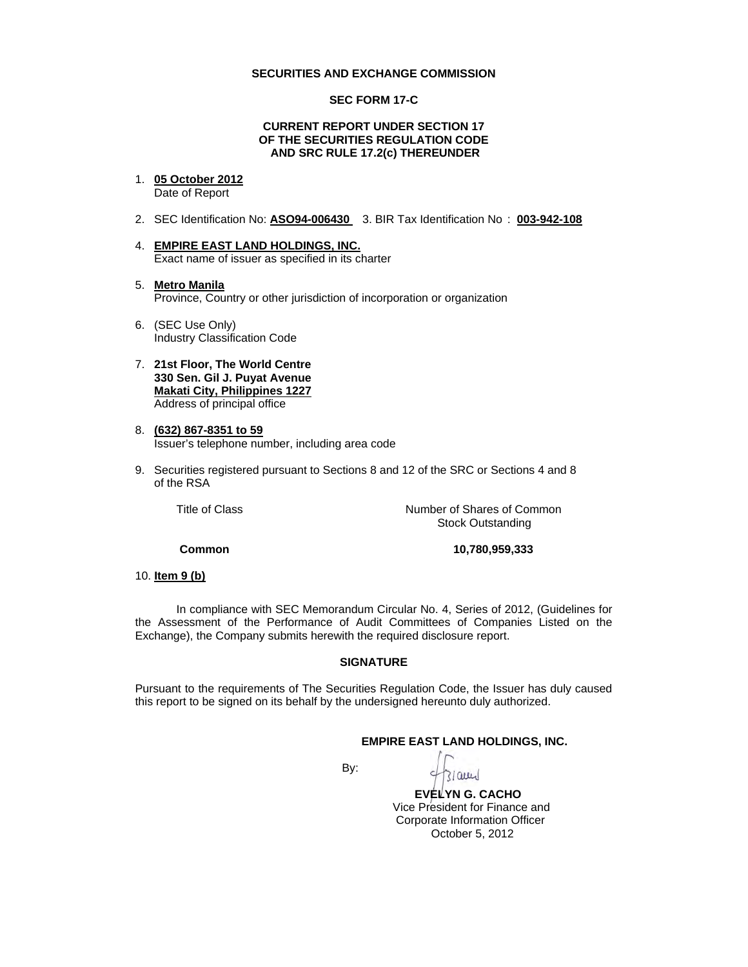#### **SECURITIES AND EXCHANGE COMMISSION**

### **SEC FORM 17-C**

## **CURRENT REPORT UNDER SECTION 17 OF THE SECURITIES REGULATION CODE AND SRC RULE 17.2(c) THEREUNDER**

1. **05 October 2012**

Date of Report

- 2. SEC Identification No: **ASO94-006430** 3. BIR Tax Identification No : **003-942-108**
- 4. **EMPIRE EAST LAND HOLDINGS, INC.** Exact name of issuer as specified in its charter
- 5. **Metro Manila** Province, Country or other jurisdiction of incorporation or organization
- 6. (SEC Use Only) Industry Classification Code
- 7. **21st Floor, The World Centre 330 Sen. Gil J. Puyat Avenue Makati City, Philippines 1227** Address of principal office
- 8. **(632) 867-8351 to 59** Issuer's telephone number, including area code
- 9. Securities registered pursuant to Sections 8 and 12 of the SRC or Sections 4 and 8 of the RSA

Title of Class *Number* of Shares of Common Stock Outstanding

**Common 10,780,959,333** 

10. **Item 9 (b)**

In compliance with SEC Memorandum Circular No. 4, Series of 2012, (Guidelines for the Assessment of the Performance of Audit Committees of Companies Listed on the Exchange), the Company submits herewith the required disclosure report.

#### **SIGNATURE**

Pursuant to the requirements of The Securities Regulation Code, the Issuer has duly caused this report to be signed on its behalf by the undersigned hereunto duly authorized.

## **EMPIRE EAST LAND HOLDINGS, INC.**

**By: By:** 

QILL

 **EVELYN G. CACHO** Vice President for Finance and Corporate Information Officer October 5, 2012